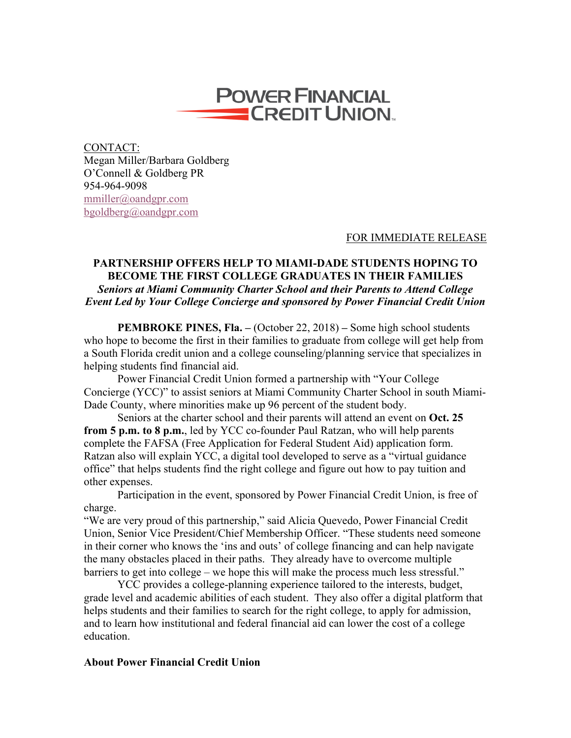

CONTACT: Megan Miller/Barbara Goldberg O'Connell & Goldberg PR 954-964-9098 mmiller@oandgpr.com bgoldberg@oandgpr.com

## FOR IMMEDIATE RELEASE

## **PARTNERSHIP OFFERS HELP TO MIAMI-DADE STUDENTS HOPING TO BECOME THE FIRST COLLEGE GRADUATES IN THEIR FAMILIES** *Seniors at Miami Community Charter School and their Parents to Attend College Event Led by Your College Concierge and sponsored by Power Financial Credit Union*

**PEMBROKE PINES, Fla. –** (October 22, 2018) **–** Some high school students who hope to become the first in their families to graduate from college will get help from a South Florida credit union and a college counseling/planning service that specializes in helping students find financial aid.

Power Financial Credit Union formed a partnership with "Your College Concierge (YCC)" to assist seniors at Miami Community Charter School in south Miami-Dade County, where minorities make up 96 percent of the student body.

Seniors at the charter school and their parents will attend an event on **Oct. 25 from 5 p.m. to 8 p.m.**, led by YCC co-founder Paul Ratzan, who will help parents complete the FAFSA (Free Application for Federal Student Aid) application form. Ratzan also will explain YCC, a digital tool developed to serve as a "virtual guidance office" that helps students find the right college and figure out how to pay tuition and other expenses.

Participation in the event, sponsored by Power Financial Credit Union, is free of charge.

"We are very proud of this partnership," said Alicia Quevedo, Power Financial Credit Union, Senior Vice President/Chief Membership Officer. "These students need someone in their corner who knows the 'ins and outs' of college financing and can help navigate the many obstacles placed in their paths. They already have to overcome multiple barriers to get into college – we hope this will make the process much less stressful."

YCC provides a college-planning experience tailored to the interests, budget, grade level and academic abilities of each student. They also offer a digital platform that helps students and their families to search for the right college, to apply for admission, and to learn how institutional and federal financial aid can lower the cost of a college education.

## **About Power Financial Credit Union**